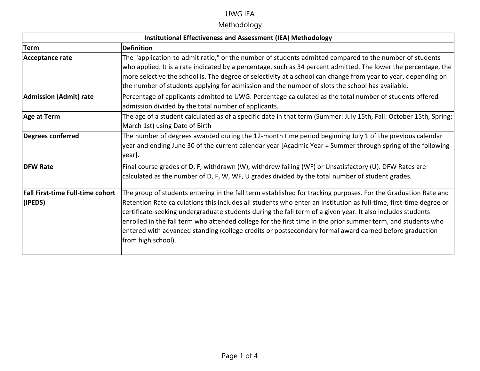#### UWG IEA

## Methodology

| <b>Institutional Effectiveness and Assessment (IEA) Methodology</b> |                                                                                                                    |  |
|---------------------------------------------------------------------|--------------------------------------------------------------------------------------------------------------------|--|
| Term                                                                | <b>Definition</b>                                                                                                  |  |
| Acceptance rate                                                     | The "application-to-admit ratio," or the number of students admitted compared to the number of students            |  |
|                                                                     | who applied. It is a rate indicated by a percentage, such as 34 percent admitted. The lower the percentage, the    |  |
|                                                                     | more selective the school is. The degree of selectivity at a school can change from year to year, depending on     |  |
|                                                                     | the number of students applying for admission and the number of slots the school has available.                    |  |
| <b>Admission (Admit) rate</b>                                       | Percentage of applicants admitted to UWG. Percentage calculated as the total number of students offered            |  |
|                                                                     | admission divided by the total number of applicants.                                                               |  |
| Age at Term                                                         | The age of a student calculated as of a specific date in that term (Summer: July 15th, Fall: October 15th, Spring: |  |
|                                                                     | March 1st) using Date of Birth                                                                                     |  |
| Degrees conferred                                                   | The number of degrees awarded during the 12-month time period beginning July 1 of the previous calendar            |  |
|                                                                     | year and ending June 30 of the current calendar year [Acadmic Year = Summer through spring of the following        |  |
|                                                                     | year].                                                                                                             |  |
| <b>DFW Rate</b>                                                     | Final course grades of D, F, withdrawn (W), withdrew failing (WF) or Unsatisfactory (U). DFW Rates are             |  |
|                                                                     | calculated as the number of D, F, W, WF, U grades divided by the total number of student grades.                   |  |
| Fall First-time Full-time cohort                                    | The group of students entering in the fall term established for tracking purposes. For the Graduation Rate and     |  |
| (IPEDS)                                                             | Retention Rate calculations this includes all students who enter an institution as full-time, first-time degree or |  |
|                                                                     | certificate-seeking undergraduate students during the fall term of a given year. It also includes students         |  |
|                                                                     | enrolled in the fall term who attended college for the first time in the prior summer term, and students who       |  |
|                                                                     | entered with advanced standing (college credits or postsecondary formal award earned before graduation             |  |
|                                                                     | from high school).                                                                                                 |  |
|                                                                     |                                                                                                                    |  |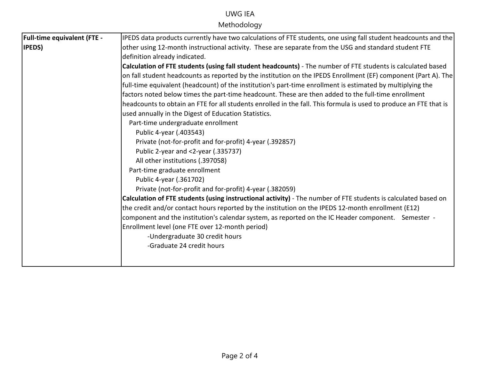# UWG IEA

Methodology

| <b>Full-time equivalent (FTE -</b> | IPEDS data products currently have two calculations of FTE students, one using fall student headcounts and the    |
|------------------------------------|-------------------------------------------------------------------------------------------------------------------|
| <b>IPEDS</b> )                     | other using 12-month instructional activity. These are separate from the USG and standard student FTE             |
|                                    | definition already indicated.                                                                                     |
|                                    | Calculation of FTE students (using fall student headcounts) - The number of FTE students is calculated based      |
|                                    | on fall student headcounts as reported by the institution on the IPEDS Enrollment (EF) component (Part A). The    |
|                                    | full-time equivalent (headcount) of the institution's part-time enrollment is estimated by multiplying the        |
|                                    | factors noted below times the part-time headcount. These are then added to the full-time enrollment               |
|                                    | headcounts to obtain an FTE for all students enrolled in the fall. This formula is used to produce an FTE that is |
|                                    | used annually in the Digest of Education Statistics.                                                              |
|                                    | Part-time undergraduate enrollment                                                                                |
|                                    | Public 4-year (.403543)                                                                                           |
|                                    | Private (not-for-profit and for-profit) 4-year (.392857)                                                          |
|                                    | Public 2-year and <2-year (.335737)                                                                               |
|                                    | All other institutions (.397058)                                                                                  |
|                                    | Part-time graduate enrollment                                                                                     |
|                                    | Public 4-year (.361702)                                                                                           |
|                                    | Private (not-for-profit and for-profit) 4-year (.382059)                                                          |
|                                    | Calculation of FTE students (using instructional activity) - The number of FTE students is calculated based on    |
|                                    | the credit and/or contact hours reported by the institution on the IPEDS 12-month enrollment (E12)                |
|                                    | component and the institution's calendar system, as reported on the IC Header component. Semester -               |
|                                    | Enrollment level (one FTE over 12-month period)                                                                   |
|                                    | -Undergraduate 30 credit hours                                                                                    |
|                                    | -Graduate 24 credit hours                                                                                         |
|                                    |                                                                                                                   |
|                                    |                                                                                                                   |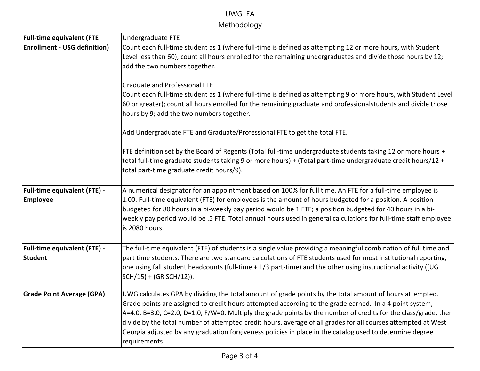### UWG IEA Methodology

| Undergraduate FTE                                                                                                                                                                                                                                                         |
|---------------------------------------------------------------------------------------------------------------------------------------------------------------------------------------------------------------------------------------------------------------------------|
| Count each full-time student as 1 (where full-time is defined as attempting 12 or more hours, with Student<br>Level less than 60); count all hours enrolled for the remaining undergraduates and divide those hours by 12;                                                |
| add the two numbers together.                                                                                                                                                                                                                                             |
| <b>Graduate and Professional FTE</b>                                                                                                                                                                                                                                      |
| Count each full-time student as 1 (where full-time is defined as attempting 9 or more hours, with Student Level                                                                                                                                                           |
| 60 or greater); count all hours enrolled for the remaining graduate and professionalstudents and divide those<br>hours by 9; add the two numbers together.                                                                                                                |
| Add Undergraduate FTE and Graduate/Professional FTE to get the total FTE.                                                                                                                                                                                                 |
| FTE definition set by the Board of Regents (Total full-time undergraduate students taking 12 or more hours +<br>total full-time graduate students taking 9 or more hours) + (Total part-time undergraduate credit hours/12 +<br>total part-time graduate credit hours/9). |
| A numerical designator for an appointment based on 100% for full time. An FTE for a full-time employee is                                                                                                                                                                 |
| $\vert$ 1.00. Full-time equivalent (FTE) for employees is the amount of hours budgeted for a position. A position                                                                                                                                                         |
| budgeted for 80 hours in a bi-weekly pay period would be 1 FTE; a position budgeted for 40 hours in a bi-                                                                                                                                                                 |
| weekly pay period would be .5 FTE. Total annual hours used in general calculations for full-time staff employee<br>is 2080 hours.                                                                                                                                         |
| The full-time equivalent (FTE) of students is a single value providing a meaningful combination of full time and                                                                                                                                                          |
| part time students. There are two standard calculations of FTE students used for most institutional reporting,<br>one using fall student headcounts (full-time + 1/3 part-time) and the other using instructional activity ((UG<br>SCH/15) + (GR SCH/12)).                |
| UWG calculates GPA by dividing the total amount of grade points by the total amount of hours attempted.                                                                                                                                                                   |
| Grade points are assigned to credit hours attempted according to the grade earned. In a 4 point system,                                                                                                                                                                   |
| $A=4.0$ , B=3.0, C=2.0, D=1.0, F/W=0. Multiply the grade points by the number of credits for the class/grade, then                                                                                                                                                        |
| divide by the total number of attempted credit hours. average of all grades for all courses attempted at West<br>Georgia adjusted by any graduation forgiveness policies in place in the catalog used to determine degree                                                 |
| requirements                                                                                                                                                                                                                                                              |
|                                                                                                                                                                                                                                                                           |